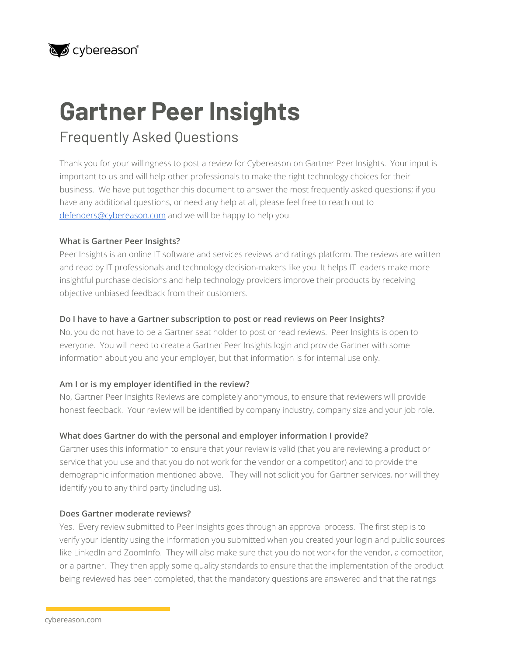### cybereason®

# **Gartner Peer Insights**

## Frequently Asked Questions

Thank you for your willingness to post a review for Cybereason on Gartner Peer Insights. Your input is important to us and will help other professionals to make the right technology choices for their business. We have put together this document to answer the most frequently asked questions; if you have any additional questions, or need any help at all, please feel free to reach out to [defenders@cybereason.com](mailto:defenders@cybereason.com) and we will be happy to help you.

#### **What is Gartner Peer Insights?**

Peer Insights is an online IT software and services reviews and ratings platform. The reviews are written and read by IT professionals and technology decision-makers like you. It helps IT leaders make more insightful purchase decisions and help technology providers improve their products by receiving objective unbiased feedback from their customers.

#### **Do I have to have a Gartner subscription to post or read reviews on Peer Insights?**

No, you do not have to be a Gartner seat holder to post or read reviews. Peer Insights is open to everyone. You will need to create a Gartner Peer Insights login and provide Gartner with some information about you and your employer, but that information is for internal use only.

#### **Am I or is my employer identified in the review?**

No, Gartner Peer Insights Reviews are completely anonymous, to ensure that reviewers will provide honest feedback. Your review will be identified by company industry, company size and your job role.

#### **What does Gartner do with the personal and employer information I provide?**

Gartner uses this information to ensure that your review is valid (that you are reviewing a product or service that you use and that you do not work for the vendor or a competitor) and to provide the demographic information mentioned above. They will not solicit you for Gartner services, nor will they identify you to any third party (including us).

#### **Does Gartner moderate reviews?**

Yes. Every review submitted to Peer Insights goes through an approval process. The first step is to verify your identity using the information you submitted when you created your login and public sources like LinkedIn and ZoomInfo. They will also make sure that you do not work for the vendor, a competitor, or a partner. They then apply some quality standards to ensure that the implementation of the product being reviewed has been completed, that the mandatory questions are answered and that the ratings

cybereason.com